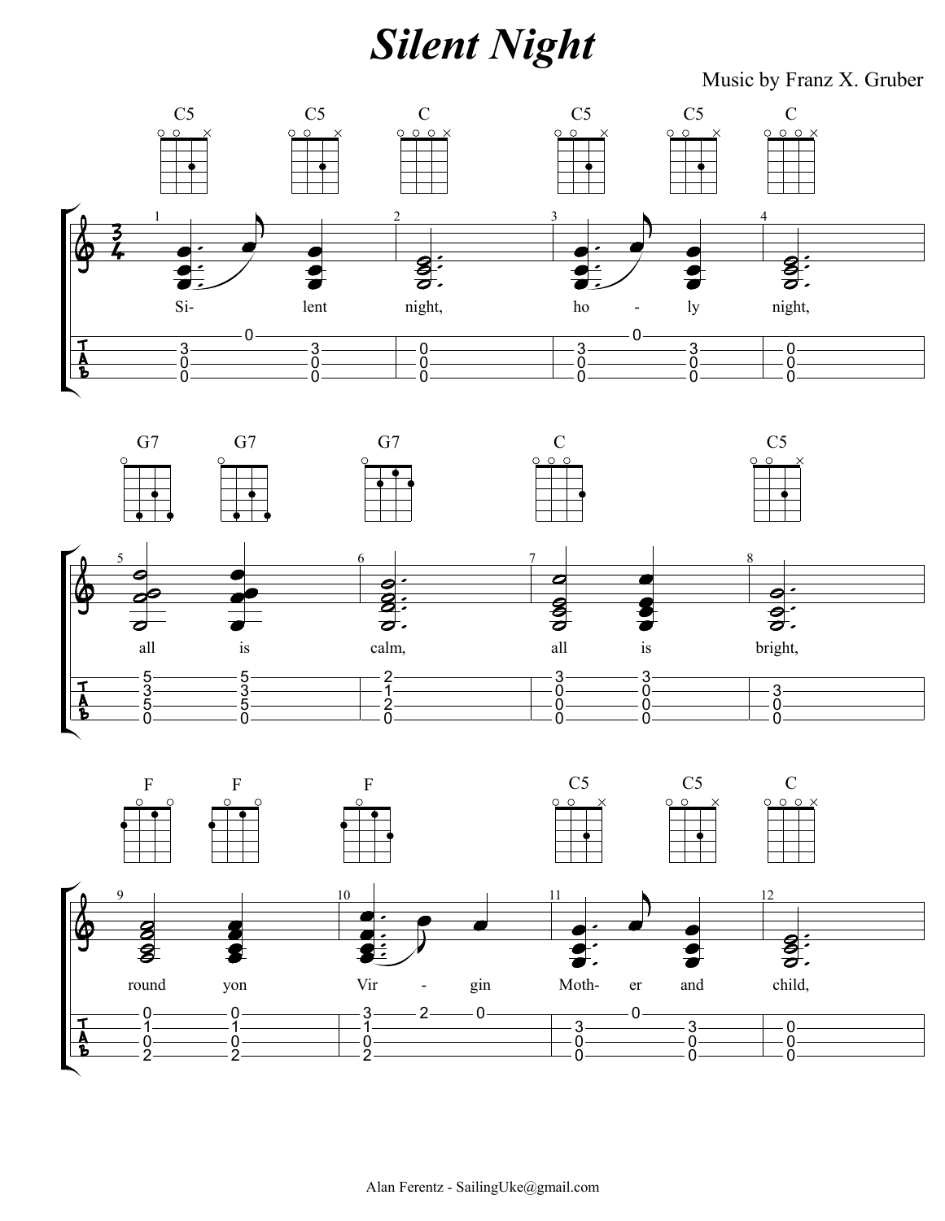## **Silent Night**

Music by Franz X. Gruber